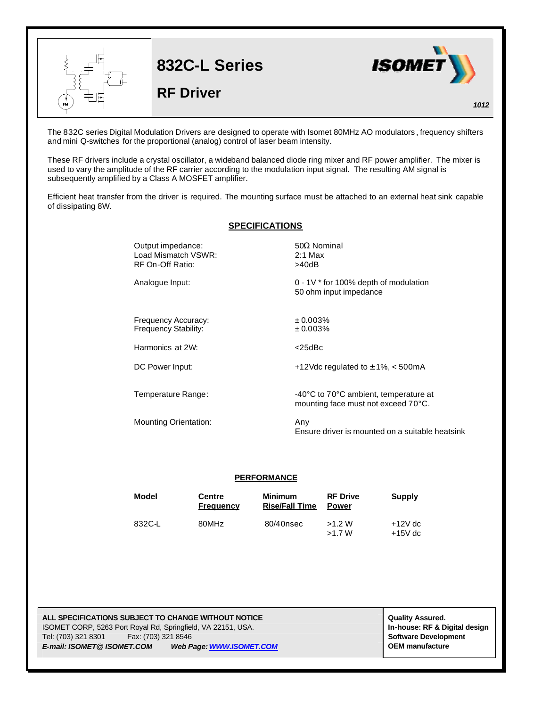

The 832C series Digital Modulation Drivers are designed to operate with Isomet 80MHz AO modulators , frequency shifters and mini Q-switches for the proportional (analog) control of laser beam intensity.

These RF drivers include a crystal oscillator, a wideband balanced diode ring mixer and RF power amplifier. The mixer is used to vary the amplitude of the RF carrier according to the modulation input signal. The resulting AM signal is subsequently amplified by a Class A MOSFET amplifier.

Efficient heat transfer from the driver is required. The mounting surface must be attached to an external heat sink capable of dissipating 8W.

## **SPECIFICATIONS**

| Output impedance:<br>Load Mismatch VSWR:<br>RF On-Off Ratio: | $50\Omega$ Nominal<br>$2:1$ Max<br>>40dB                                     |  |  |
|--------------------------------------------------------------|------------------------------------------------------------------------------|--|--|
| Analogue Input:                                              | $0 - 1V$ * for 100% depth of modulation<br>50 ohm input impedance            |  |  |
| Frequency Accuracy:<br>Frequency Stability:                  | ± 0.003%<br>± 0.003%                                                         |  |  |
| Harmonics at 2W:                                             | $<$ 25dBc                                                                    |  |  |
| DC Power Input:                                              | +12Vdc regulated to $\pm$ 1%, $\lt$ 500mA                                    |  |  |
| Temperature Range:                                           | -40°C to 70°C ambient, temperature at<br>mounting face must not exceed 70°C. |  |  |
| <b>Mounting Orientation:</b>                                 | Any<br>Ensure driver is mounted on a suitable heatsink                       |  |  |

## **PERFORMANCE**

| Model  | Centre<br><b>Frequency</b> | <b>Minimum</b><br><b>Rise/Fall Time</b> | <b>RF Drive</b><br><b>Power</b> | Supply                 |
|--------|----------------------------|-----------------------------------------|---------------------------------|------------------------|
| 832C-L | 80MHz                      | 80/40nsec                               | >1.2 W<br>>1.7 W                | $+12V$ dc<br>$+15V$ dc |

**ALL SPECIFICATIONS SUBJECT TO CHANGE WITHOUT NOTICE And CONTACT ASSURANT CONTRACT ASSURED.** ISOMET CORP, 5263 Port Royal Rd, Springfield, VA 22151, USA. **In-house: RF & Digital design** Tel: (703) 321 8301 Fax: (703) 321 8546 **Software Development** *E-mail: ISOMET@ ISOMET.COM Web Page: WWW.ISOMET.COM* **OEM manufacture**